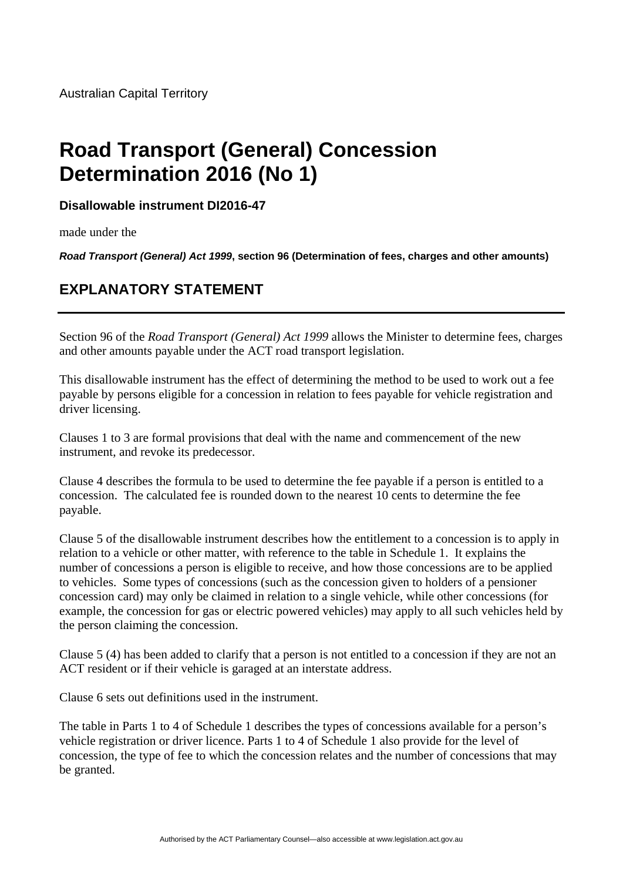## **Road Transport (General) Concession Determination 2016 (No 1)**

**Disallowable instrument DI2016-47**

made under the

*Road Transport (General) Act 1999***, section 96 (Determination of fees, charges and other amounts)** 

## **EXPLANATORY STATEMENT**

Section 96 of the *Road Transport (General) Act 1999* allows the Minister to determine fees, charges and other amounts payable under the ACT road transport legislation.

This disallowable instrument has the effect of determining the method to be used to work out a fee payable by persons eligible for a concession in relation to fees payable for vehicle registration and driver licensing.

Clauses 1 to 3 are formal provisions that deal with the name and commencement of the new instrument, and revoke its predecessor.

Clause 4 describes the formula to be used to determine the fee payable if a person is entitled to a concession. The calculated fee is rounded down to the nearest 10 cents to determine the fee payable.

Clause 5 of the disallowable instrument describes how the entitlement to a concession is to apply in relation to a vehicle or other matter, with reference to the table in Schedule 1. It explains the number of concessions a person is eligible to receive, and how those concessions are to be applied to vehicles. Some types of concessions (such as the concession given to holders of a pensioner concession card) may only be claimed in relation to a single vehicle, while other concessions (for example, the concession for gas or electric powered vehicles) may apply to all such vehicles held by the person claiming the concession.

Clause 5 (4) has been added to clarify that a person is not entitled to a concession if they are not an ACT resident or if their vehicle is garaged at an interstate address.

Clause 6 sets out definitions used in the instrument.

The table in Parts 1 to 4 of Schedule 1 describes the types of concessions available for a person's vehicle registration or driver licence. Parts 1 to 4 of Schedule 1 also provide for the level of concession, the type of fee to which the concession relates and the number of concessions that may be granted.